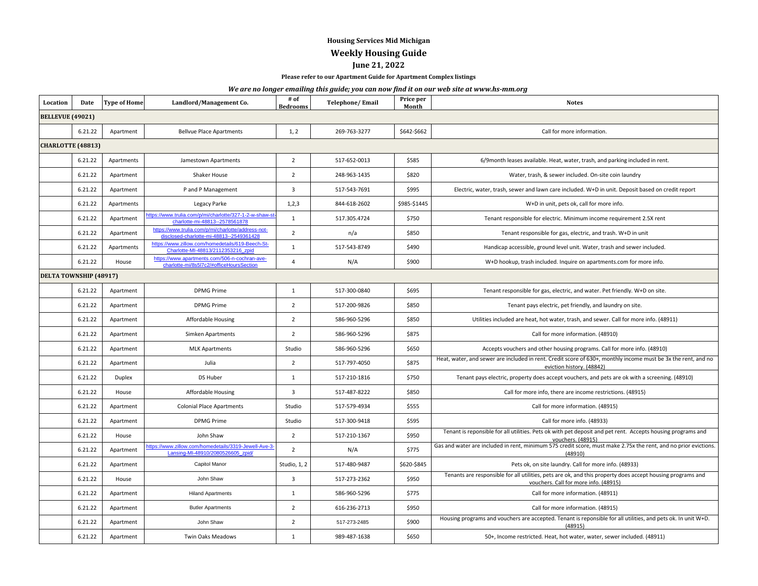## **Housing Services Mid Michigan**

**Weekly Housing Guide**

## **June 21, 2022**

**Please refer to our Apartment Guide for Apartment Complex listings**

## *We are no longer emailing this guide; you can now find it on our web site at www.hs-mm.org*

| Location                 | Date    | <b>Type of Home</b> | Landlord/Management Co.                                                                        | # of<br><b>Bedrooms</b> | <b>Telephone/Email</b> | Price per<br>Month | <b>Notes</b>                                                                                                                                        |
|--------------------------|---------|---------------------|------------------------------------------------------------------------------------------------|-------------------------|------------------------|--------------------|-----------------------------------------------------------------------------------------------------------------------------------------------------|
| <b>BELLEVUE (49021)</b>  |         |                     |                                                                                                |                         |                        |                    |                                                                                                                                                     |
|                          | 6.21.22 | Apartment           | <b>Bellvue Place Apartments</b>                                                                | 1, 2                    | 269-763-3277           | \$642-\$662        | Call for more information.                                                                                                                          |
| <b>CHARLOTTE (48813)</b> |         |                     |                                                                                                |                         |                        |                    |                                                                                                                                                     |
|                          | 6.21.22 | Apartments          | Jamestown Apartments                                                                           | $\overline{2}$          | 517-652-0013           | \$585              | 6/9month leases available. Heat, water, trash, and parking included in rent.                                                                        |
|                          | 6.21.22 | Apartment           | Shaker House                                                                                   | $\overline{2}$          | 248-963-1435           | \$820              | Water, trash, & sewer included. On-site coin laundry                                                                                                |
|                          | 6.21.22 | Apartment           | P and P Management                                                                             | 3                       | 517-543-7691           | \$995              | Electric, water, trash, sewer and lawn care included. W+D in unit. Deposit based on credit report                                                   |
|                          | 6.21.22 | Apartments          | Legacy Parke                                                                                   | 1,2,3                   | 844-618-2602           | \$985-\$1445       | W+D in unit, pets ok, call for more info.                                                                                                           |
|                          | 6.21.22 | Apartment           | ttps://www.trulia.com/p/mi/charlotte/327-1-2-w-shaw-st<br>charlotte-mi-48813--2578561878       | $\mathbf{1}$            | 517.305.4724           | \$750              | Tenant responsible for electric. Minimum income requirement 2.5X rent                                                                               |
|                          | 6.21.22 | Apartment           | https://www.trulia.com/p/mi/charlotte/address-not-<br>disclosed-charlotte-mi-48813--2549361428 | $\overline{2}$          | n/a                    | \$850              | Tenant responsible for gas, electric, and trash. W+D in unit                                                                                        |
|                          | 6.21.22 | Apartments          | https://www.zillow.com/homedetails/619-Beech-St-<br>Charlotte-MI-48813/2112353216_zpid         | 1                       | 517-543-8749           | \$490              | Handicap accessible, ground level unit. Water, trash and sewer included.                                                                            |
|                          | 6.21.22 | House               | https://www.apartments.com/506-n-cochran-ave-<br>charlotte-mi/8s5l7c2/#officeHoursSection      | $\overline{4}$          | N/A                    | \$900              | W+D hookup, trash included. Inquire on apartments.com for more info.                                                                                |
| DELTA TOWNSHIP (48917)   |         |                     |                                                                                                |                         |                        |                    |                                                                                                                                                     |
|                          | 6.21.22 | Apartment           | <b>DPMG Prime</b>                                                                              | $\mathbf{1}$            | 517-300-0840           | \$695              | Tenant responsible for gas, electric, and water. Pet friendly. W+D on site.                                                                         |
|                          | 6.21.22 | Apartment           | <b>DPMG Prime</b>                                                                              | $\overline{2}$          | 517-200-9826           | \$850              | Tenant pays electric, pet friendly, and laundry on site.                                                                                            |
|                          | 6.21.22 | Apartment           | Affordable Housing                                                                             | $\overline{2}$          | 586-960-5296           | \$850              | Utilities included are heat, hot water, trash, and sewer. Call for more info. (48911)                                                               |
|                          | 6.21.22 | Apartment           | Simken Apartments                                                                              | $\overline{2}$          | 586-960-5296           | \$875              | Call for more information. (48910)                                                                                                                  |
|                          | 6.21.22 | Apartment           | <b>MLK Apartments</b>                                                                          | Studio                  | 586-960-5296           | \$650              | Accepts vouchers and other housing programs. Call for more info. (48910)                                                                            |
|                          | 6.21.22 | Apartment           | Julia                                                                                          | $\overline{2}$          | 517-797-4050           | \$875              | Heat, water, and sewer are included in rent. Credit score of 630+, monthly income must be 3x the rent, and no<br>eviction history. (48842)          |
|                          | 6.21.22 | Duplex              | DS Huber                                                                                       | $\mathbf{1}$            | 517-210-1816           | \$750              | Tenant pays electric, property does accept vouchers, and pets are ok with a screening. (48910)                                                      |
|                          | 6.21.22 | House               | Affordable Housing                                                                             | $\overline{3}$          | 517-487-8222           | \$850              | Call for more info, there are income restrictions. (48915)                                                                                          |
|                          | 6.21.22 | Apartment           | <b>Colonial Place Apartments</b>                                                               | Studio                  | 517-579-4934           | \$555              | Call for more information. (48915)                                                                                                                  |
|                          | 6.21.22 | Apartment           | <b>DPMG Prime</b>                                                                              | Studio                  | 517-300-9418           | \$595              | Call for more info. (48933)                                                                                                                         |
|                          | 6.21.22 | House               | John Shaw                                                                                      | $\overline{2}$          | 517-210-1367           | \$950              | Tenant is reponsible for all utilities. Pets ok with pet deposit and pet rent. Accepts housing programs and<br>vouchers. (48915)                    |
|                          | 6.21.22 | Apartment           | ttps://www.zillow.com/homedetails/3319-Jewell-Ave-3<br>Lansing-MI-48910/2080526605 zpid/       | $\overline{2}$          | N/A                    | \$775              | Gas and water are included in rent, minimum 575 credit score, must make 2.75x the rent, and no prior evictions.<br>(48910)                          |
|                          | 6.21.22 | Apartment           | Capitol Manor                                                                                  | Studio, 1, 2            | 517-480-9487           | \$620-\$845        | Pets ok, on site laundry. Call for more info. (48933)                                                                                               |
|                          | 6.21.22 | House               | John Shaw                                                                                      | $\overline{\mathbf{3}}$ | 517-273-2362           | \$950              | Tenants are responsible for all utilities, pets are ok, and this property does accept housing programs and<br>vouchers. Call for more info. (48915) |
|                          | 6.21.22 | Apartment           | <b>Hiland Apartments</b>                                                                       | $\mathbf{1}$            | 586-960-5296           | \$775              | Call for more information. (48911)                                                                                                                  |
|                          | 6.21.22 | Apartment           | <b>Butler Apartments</b>                                                                       | $\overline{2}$          | 616-236-2713           | \$950              | Call for more information. (48915)                                                                                                                  |
|                          | 6.21.22 | Apartment           | John Shaw                                                                                      | $\overline{2}$          | 517-273-2485           | \$900              | Housing programs and vouchers are accepted. Tenant is reponsible for all utilities, and pets ok. In unit W+D.<br>(48915)                            |
|                          | 6.21.22 | Apartment           | Twin Oaks Meadows                                                                              | $\mathbf{1}$            | 989-487-1638           | \$650              | 50+, Income restricted. Heat, hot water, water, sewer included. (48911)                                                                             |
|                          |         |                     |                                                                                                |                         |                        |                    |                                                                                                                                                     |